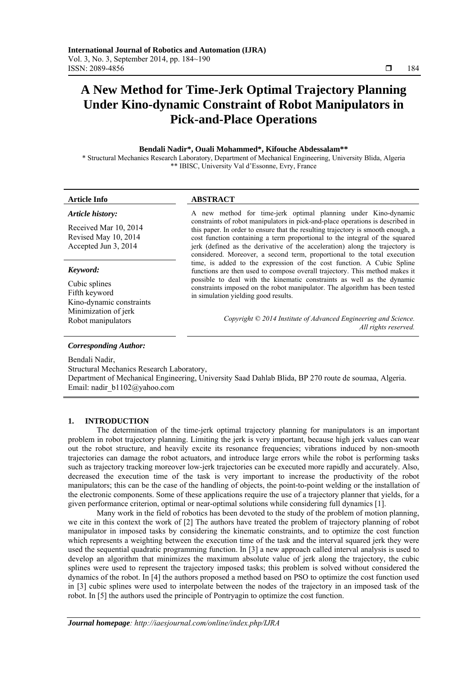# **A New Method for Time-Jerk Optimal Trajectory Planning Under Kino-dynamic Constraint of Robot Manipulators in Pick-and-Place Operations**

# **Bendali Nadir\*, Ouali Mohammed\*, Kifouche Abdessalam\*\***

\* Structural Mechanics Research Laboratory, Department of Mechanical Engineering, University Blida, Algeria \*\* IBISC, University Val d'Essonne, Evry, France

*Article history:* 

# **Article Info ABSTRACT**

Received Mar 10, 2014 Revised May 10, 2014 Accepted Jun 3, 2014

# *Keyword:*

Cubic splines Fifth keyword Kino-dynamic constraints Minimization of jerk

A new method for time-jerk optimal planning under Kino-dynamic constraints of robot manipulators in pick-and-place operations is described in this paper. In order to ensure that the resulting trajectory is smooth enough, a cost function containing a term proportional to the integral of the squared jerk (defined as the derivative of the acceleration) along the trajectory is considered. Moreover, a second term, proportional to the total execution time, is added to the expression of the cost function. A Cubic Spline functions are then used to compose overall trajectory. This method makes it possible to deal with the kinematic constraints as well as the dynamic constraints imposed on the robot manipulator. The algorithm has been tested in simulation yielding good results.

Robot manipulators *Copyright © 2014 Institute of Advanced Engineering and Science. All rights reserved.* 

# *Corresponding Author:*

Bendali Nadir,

Structural Mechanics Research Laboratory, Department of Mechanical Engineering, University Saad Dahlab Blida, BP 270 route de soumaa, Algeria. Email: nadir\_b1102@yahoo.com

# **1. INTRODUCTION**

The determination of the time-jerk optimal trajectory planning for manipulators is an important problem in robot trajectory planning. Limiting the jerk is very important, because high jerk values can wear out the robot structure, and heavily excite its resonance frequencies; vibrations induced by non-smooth trajectories can damage the robot actuators, and introduce large errors while the robot is performing tasks such as trajectory tracking moreover low-jerk trajectories can be executed more rapidly and accurately. Also, decreased the execution time of the task is very important to increase the productivity of the robot manipulators; this can be the case of the handling of objects, the point-to-point welding or the installation of the electronic components. Some of these applications require the use of a trajectory planner that yields, for a given performance criterion, optimal or near-optimal solutions while considering full dynamics [1].

Many work in the field of robotics has been devoted to the study of the problem of motion planning, we cite in this context the work of [2] The authors have treated the problem of trajectory planning of robot manipulator in imposed tasks by considering the kinematic constraints, and to optimize the cost function which represents a weighting between the execution time of the task and the interval squared jerk they were used the sequential quadratic programming function. In [3] a new approach called interval analysis is used to develop an algorithm that minimizes the maximum absolute value of jerk along the trajectory, the cubic splines were used to represent the trajectory imposed tasks; this problem is solved without considered the dynamics of the robot. In [4] the authors proposed a method based on PSO to optimize the cost function used in [3] cubic splines were used to interpolate between the nodes of the trajectory in an imposed task of the robot. In [5] the authors used the principle of Pontryagin to optimize the cost function.

ֺֺ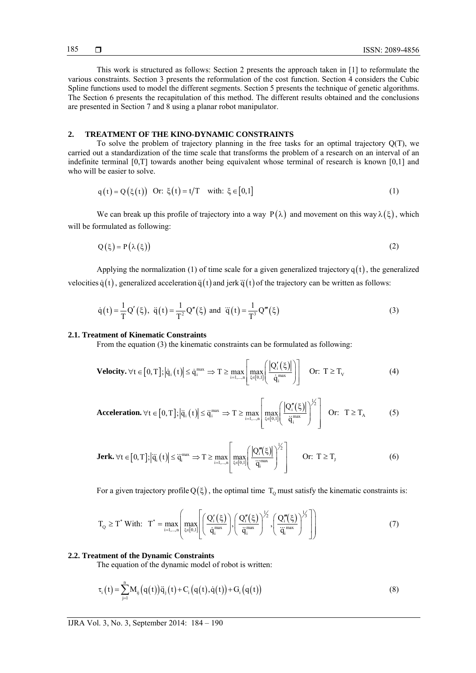This work is structured as follows: Section 2 presents the approach taken in [1] to reformulate the various constraints. Section 3 presents the reformulation of the cost function. Section 4 considers the Cubic Spline functions used to model the different segments. Section 5 presents the technique of genetic algorithms. The Section 6 presents the recapitulation of this method. The different results obtained and the conclusions are presented in Section 7 and 8 using a planar robot manipulator.

# **2. TREATMENT OF THE KINO-DYNAMIC CONSTRAINTS**

To solve the problem of trajectory planning in the free tasks for an optimal trajectory Q(T), we carried out a standardization of the time scale that transforms the problem of a research on an interval of an indefinite terminal [0,T] towards another being equivalent whose terminal of research is known [0,1] and who will be easier to solve.

$$
q(t) = Q(\xi(t)) \text{ Or: } \xi(t) = t/T \text{ with: } \xi \in [0,1]
$$
 (1)

We can break up this profile of trajectory into a way  $P(\lambda)$  and movement on this way  $\lambda(\xi)$ , which will be formulated as following:

$$
Q(\xi) = P(\lambda(\xi))
$$
 (2)

Applying the normalization (1) of time scale for a given generalized trajectory  $q(t)$ , the generalized velocities  $\dot{q}(t)$ , generalized acceleration  $\ddot{q}(t)$  and jerk  $\ddot{q}(t)$  of the trajectory can be written as follows:

$$
\dot{q}(t) = \frac{1}{T} Q'(\xi), \ \ddot{q}(t) = \frac{1}{T^2} Q''(\xi) \text{ and } \ddot{q}(t) = \frac{1}{T^3} Q'''(\xi)
$$
\n(3)

### **2.1. Treatment of Kinematic Constraints**

From the equation (3) the kinematic constraints can be formulated as following:

$$
\text{Velocity.} \,\forall t \in [0, T]; \left| \dot{q}_i(t) \right| \leq \dot{q}_i^{\max} \Rightarrow T \geq \max_{i=1,\dots,n} \left[ \max_{\xi \in [0,1]} \left( \frac{\left| Q_i'(\xi) \right|}{\dot{q}_i^{\max}} \right) \right] \quad \text{Or:} \,\, T \geq T_v \tag{4}
$$

**Acceleration.** 
$$
\forall t \in [0, T]; |\ddot{q}_i(t)| \leq \ddot{q}_i^{\max} \Rightarrow T \geq \max_{i=1,\dots,n} \left[ \max_{\xi \in [0,1]} \left( \frac{|Q_i''(\xi)|}{\ddot{q}_i^{\max}} \right)^{1/2} \right]
$$
 Or:  $T \geq T_A$  (5)

**Jerk.** 
$$
\forall t \in [0, T]; |\ddot{q}_i(t)| \le \ddot{q}_i^{\max} \Rightarrow T \ge \max_{i=1,\dots,n} \left[ \max_{\xi \in [0,1]} \left( \frac{|Q_i'''(\xi)|}{\ddot{q}_i^{\max}} \right)^{1/2} \right]
$$
 Or:  $T \ge T_J$  (6)

For a given trajectory profile  $Q(\xi)$ , the optimal time  $T_0$  must satisfy the kinematic constraints is:

$$
T_Q \geq T^* \text{ With:} \quad T^* = \max_{i=1,\dots,n} \left( \max_{\xi \in [0,1]} \left[ \left( \frac{Q_i'(\xi)}{\dot{q}_i^{max}} \right), \left( \frac{Q_i''(\xi)}{\ddot{q}_i^{max}} \right)^{1/2}, \left( \frac{Q_i'''(\xi)}{\ddot{q}_i^{max}} \right)^{1/3} \right] \right) \tag{7}
$$

# **2.2. Treatment of the Dynamic Constraints**

The equation of the dynamic model of robot is written:

$$
\tau_{i}(t) = \sum_{j=1}^{n} M_{ij}(q(t))\ddot{q}_{j}(t) + C_{i}(q(t), \dot{q}(t)) + G_{i}(q(t))
$$
\n(8)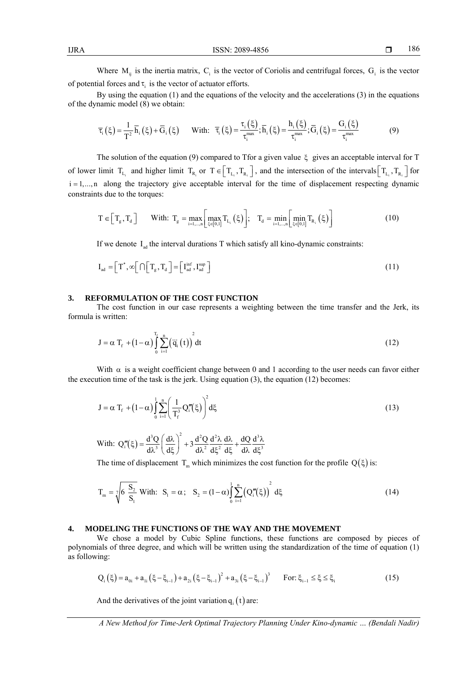Where  $M_{ii}$  is the inertia matrix,  $C_i$  is the vector of Coriolis and centrifugal forces,  $G_i$  is the vector of potential forces and  $\tau_i$  is the vector of actuator efforts.

By using the equation (1) and the equations of the velocity and the accelerations (3) in the equations of the dynamic model (8) we obtain:

$$
\overline{\tau}_{i}\left(\xi\right) = \frac{1}{T^{2}}\overline{h}_{i}\left(\xi\right) + \overline{G}_{i}\left(\xi\right) \qquad \text{With:} \quad \overline{\tau}_{i}\left(\xi\right) = \frac{\tau_{i}\left(\xi\right)}{\tau_{i}^{\max}}; \overline{h}_{i}\left(\xi\right) = \frac{h_{i}\left(\xi\right)}{\tau_{i}^{\max}}; \overline{G}_{i}\left(\xi\right) = \frac{G_{i}\left(\xi\right)}{\tau_{i}^{\max}} \tag{9}
$$

The solution of the equation (9) compared to Tfor a given value  $\xi$  gives an acceptable interval for T of lower limit  $T_{L_i}$  and higher limit  $T_{R_i}$  or  $T \in \left[ T_{L_i}, T_{R_i} \right]$ , and the intersection of the intervals  $\left[ T_{L_i}, T_{R_i} \right]$  for  $i = 1,...,n$  along the trajectory give acceptable interval for the time of displacement respecting dynamic constraints due to the torques:

$$
T \in \left[T_g, T_d\right] \qquad \text{With: } T_g = \max_{i=1,\dots,n} \left[\max_{\xi \in [0,1]} T_{L_i}\left(\xi\right)\right]; \quad T_d = \min_{i=1,\dots,n} \left[\min_{\xi \in [0,1]} T_{R_i}\left(\xi\right)\right] \tag{10}
$$

If we denote  $I_{ad}$  the interval durations T which satisfy all kino-dynamic constraints:

$$
I_{ad} = \left[ T^*, \infty \right[ \cap \left[ T_g, T_d \right] = \left[ I_{ad}^{inf}, I_{ad}^{sup} \right]
$$
\n(11)

### **3. REFORMULATION OF THE COST FUNCTION**

The cost function in our case represents a weighting between the time transfer and the Jerk, its formula is written:

$$
J = \alpha T_f + (1 - \alpha) \int_0^{T_f} \sum_{i=1}^n (\ddot{q}_i(t))^2 dt
$$
 (12)

With  $\alpha$  is a weight coefficient change between 0 and 1 according to the user needs can favor either the execution time of the task is the jerk. Using equation  $(3)$ , the equation  $(12)$  becomes:

$$
J = \alpha T_f + (1 - \alpha) \int_0^1 \sum_{i=1}^n \left( \frac{1}{T_f^3} Q_i'''(\xi) \right)^2 d\xi
$$
 (13)

With: 
$$
Q_1'''(\xi) = \frac{d^3 Q}{d\lambda^3} \left(\frac{d\lambda}{d\xi}\right)^2 + 3 \frac{d^2 Q}{d\lambda^2} \frac{d^2 \lambda}{d\xi^2} \frac{d\lambda}{d\xi} + \frac{dQ}{d\lambda} \frac{d^3 \lambda}{d\xi^3}
$$

The time of displacement  $T_m$  which minimizes the cost function for the profile  $Q(\xi)$  is:

$$
T_m = \sqrt[7]{6 \frac{S_2}{S_1}} \text{With: } S_1 = \alpha; \quad S_2 = (1 - \alpha) \int_0^1 \sum_{i=1}^n (Q_i'''(\xi))^2 d\xi \tag{14}
$$

# **4. MODELING THE FUNCTIONS OF THE WAY AND THE MOVEMENT**

We chose a model by Cubic Spline functions, these functions are composed by pieces of polynomials of three degree, and which will be written using the standardization of the time of equation (1) as following:

$$
Q_{i}(\xi) = a_{0i} + a_{1i}(\xi - \xi_{i-1}) + a_{2i}(\xi - \xi_{i-1})^{2} + a_{3i}(\xi - \xi_{i-1})^{3} \quad \text{For: } \xi_{i-1} \le \xi \le \xi_{i}
$$
\n(15)

And the derivatives of the joint variation  $q_i(t)$  are: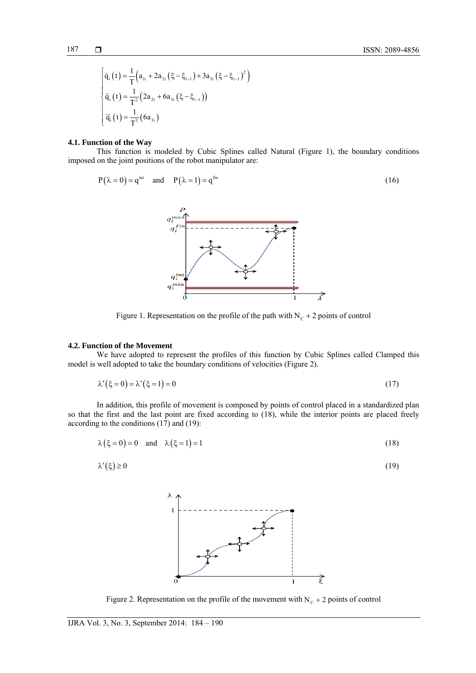$$
187 \qquad \Box
$$

$$
\begin{cases}\n\dot{q}_i(t) = \frac{1}{T} \Big( a_{1i} + 2a_{2i} (\xi - \xi_{i-1}) + 3a_{3i} (\xi - \xi_{i-1})^2 \Big) \\
\ddot{q}_i(t) = \frac{1}{T^2} \Big( 2a_{2i} + 6a_{3i} (\xi - \xi_{i-1}) \Big) \\
\ddot{q}_i(t) = \frac{1}{T^3} (6a_{3i})\n\end{cases}
$$

# **4.1. Function of the Way**

This function is modeled by Cubic Splines called Natural (Figure 1), the boundary conditions imposed on the joint positions of the robot manipulator are:

$$
P(\lambda = 0) = q^{\text{ini}} \quad \text{and} \quad P(\lambda = 1) = q^{\text{fin}} \tag{16}
$$



Figure 1. Representation on the profile of the path with  $N_c + 2$  points of control

# **4.2. Function of the Movement**

We have adopted to represent the profiles of this function by Cubic Splines called Clamped this model is well adopted to take the boundary conditions of velocities (Figure 2).

$$
\lambda'(\xi = 0) = \lambda'(\xi = 1) = 0\tag{17}
$$

In addition, this profile of movement is composed by points of control placed in a standardized plan so that the first and the last point are fixed according to (18), while the interior points are placed freely according to the conditions (17) and (19):

$$
\lambda(\xi = 0) = 0 \quad \text{and} \quad \lambda(\xi = 1) = 1 \tag{18}
$$

$$
\lambda'(\xi) \ge 0 \tag{19}
$$



Figure 2. Representation on the profile of the movement with  $N_c + 2$  points of control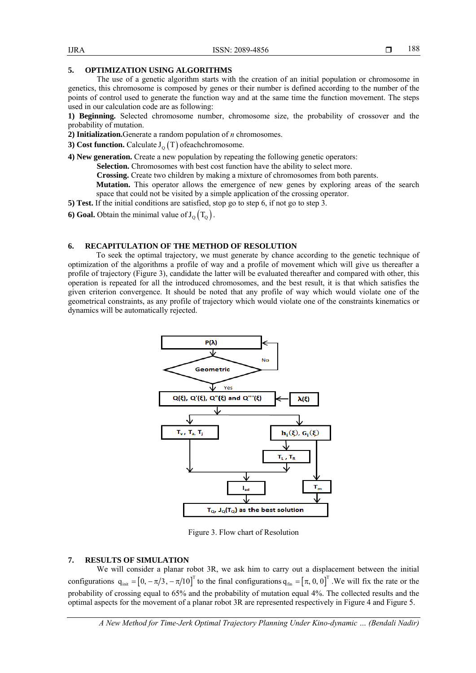# **5. OPTIMIZATION USING ALGORITHMS**

The use of a genetic algorithm starts with the creation of an initial population or chromosome in genetics, this chromosome is composed by genes or their number is defined according to the number of the points of control used to generate the function way and at the same time the function movement. The steps used in our calculation code are as following:

**1) Beginning.** Selected chromosome number, chromosome size, the probability of crossover and the probability of mutation.

**2) Initialization.**Generate a random population of *n* chromosomes.

- **3) Cost function.** Calculate  $J_0(T)$  of each chromosome.
- **4) New generation.** Create a new population by repeating the following genetic operators:

Selection. Chromosomes with best cost function have the ability to select more.

**Crossing.** Create two children by making a mixture of chromosomes from both parents.

**Mutation.** This operator allows the emergence of new genes by exploring areas of the search space that could not be visited by a simple application of the crossing operator.

**5) Test.** If the initial conditions are satisfied, stop go to step 6, if not go to step 3.

**6) Goal.** Obtain the minimal value of  $J_0(T_0)$ .

# **6. RECAPITULATION OF THE METHOD OF RESOLUTION**

To seek the optimal trajectory, we must generate by chance according to the genetic technique of optimization of the algorithms a profile of way and a profile of movement which will give us thereafter a profile of trajectory (Figure 3), candidate the latter will be evaluated thereafter and compared with other, this operation is repeated for all the introduced chromosomes, and the best result, it is that which satisfies the given criterion convergence. It should be noted that any profile of way which would violate one of the geometrical constraints, as any profile of trajectory which would violate one of the constraints kinematics or dynamics will be automatically rejected.



Figure 3. Flow chart of Resolution

# **7. RESULTS OF SIMULATION**

We will consider a planar robot 3R, we ask him to carry out a displacement between the initial configurations  $q_{\text{init}} = [0, -\pi/3, -\pi/10]^T$  to the final configurations  $q_{\text{fin}} = [\pi, 0, 0]^T$ . We will fix the rate or the probability of crossing equal to 65% and the probability of mutation equal 4%. The collected results and the optimal aspects for the movement of a planar robot 3R are represented respectively in Figure 4 and Figure 5.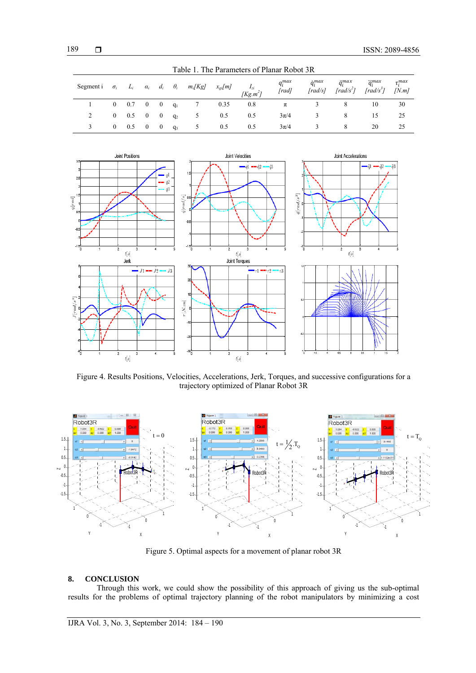| Table 1. The Parameters of Planar Robot 3R                                                                   |          |                          |          |          |       |                |      |     |                             |                                         |                    |                                                                                     |                         |
|--------------------------------------------------------------------------------------------------------------|----------|--------------------------|----------|----------|-------|----------------|------|-----|-----------------------------|-----------------------------------------|--------------------|-------------------------------------------------------------------------------------|-------------------------|
| Segmenti $\sigma_i$ $L_i$ $\alpha_i$ $d_i$ $\theta_i$ $m_i[Kg]$ $x_{gi}[m]$ $I_{zi}$<br>[Kg,m <sup>2</sup> ] |          |                          |          |          |       |                |      |     | q <sub>i</sub> max<br>[rad] | $\dot{q}^{max}_i$<br>$\int \frac{r}{s}$ | $\ddot{q}^{max}_i$ | $\ddot{q}_i^{max}$<br>$\left[\frac{rad}{s^2}\right]$ $\left[\frac{rad}{s^3}\right]$ | $\tau_i^{max}$<br>[N.m] |
|                                                                                                              |          | $0 \t 0.7 \t 0 \t 0 q_1$ |          |          |       | $\overline{7}$ | 0.35 | 0.8 | π                           |                                         |                    | 10                                                                                  | 30                      |
|                                                                                                              |          | $0 \quad 0.5 \quad 0$    |          | $\sim 0$ | $q_2$ | $\overline{5}$ | 0.5  | 0.5 | $3\pi/4$                    |                                         |                    | 15                                                                                  | 25                      |
|                                                                                                              | $\theta$ | 0.5                      | $\sim 0$ | $\sim 0$ | $q_3$ | 5 <sup>5</sup> | 0.5  | 0.5 | $3\pi/4$                    |                                         |                    | 20                                                                                  | 25                      |



Figure 4. Results Positions, Velocities, Accelerations, Jerk, Torques, and successive configurations for a trajectory optimized of Planar Robot 3R



Figure 5. Optimal aspects for a movement of planar robot 3R

# **8. CONCLUSION**

Through this work, we could show the possibility of this approach of giving us the sub-optimal results for the problems of optimal trajectory planning of the robot manipulators by minimizing a cost